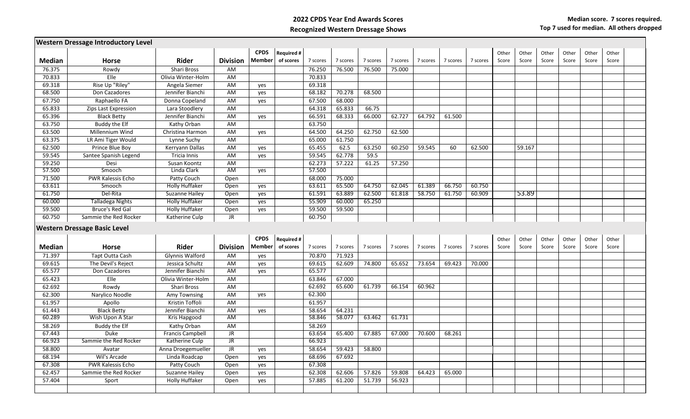## **2022 CPDS Year End Awards Scores Recognized Western Dressage Shows**

|               | <b>Western Dressage Introductory Level</b> |                         |                 |               |                   |          |          |          |          |          |          |          |       |        |       |       |       |       |  |
|---------------|--------------------------------------------|-------------------------|-----------------|---------------|-------------------|----------|----------|----------|----------|----------|----------|----------|-------|--------|-------|-------|-------|-------|--|
|               |                                            |                         |                 | <b>CPDS</b>   | <b>Required #</b> |          |          |          |          |          |          |          | Other | Other  | Other | Other | Other | Other |  |
| <b>Median</b> | <b>Horse</b>                               | <b>Rider</b>            | <b>Division</b> | <b>Member</b> | of scores         | 7 scores | 7 scores | 7 scores | 7 scores | 7 scores | 7 scores | 7 scores | Score | Score  | Score | Score | Score | Score |  |
| 76.375        | Rowdy                                      | <b>Shari Bross</b>      | AM              |               |                   | 76.250   | 76.500   | 76.500   | 75.000   |          |          |          |       |        |       |       |       |       |  |
| 70.833        | Elle                                       | Olivia Winter-Holm      | AM              |               |                   | 70.833   |          |          |          |          |          |          |       |        |       |       |       |       |  |
| 69.318        | Rise Up "Riley"                            | Angela Siemer           | <b>AM</b>       | yes           |                   | 69.318   |          |          |          |          |          |          |       |        |       |       |       |       |  |
| 68.500        | Don Cazadores                              | Jennifer Bianchi        | AM              | yes           |                   | 68.182   | 70.278   | 68.500   |          |          |          |          |       |        |       |       |       |       |  |
| 67.750        | Raphaello FA                               | Donna Copeland          | AM              | yes           |                   | 67.500   | 68.000   |          |          |          |          |          |       |        |       |       |       |       |  |
| 65.833        | Zips Last Expression                       | Lara Stoodlery          | AM              |               |                   | 64.318   | 65.833   | 66.75    |          |          |          |          |       |        |       |       |       |       |  |
| 65.396        | <b>Black Betty</b>                         | Jennifer Bianchi        | <b>AM</b>       | yes           |                   | 66.591   | 68.333   | 66.000   | 62.727   | 64.792   | 61.500   |          |       |        |       |       |       |       |  |
| 63.750        | Buddy the Elf                              | Kathy Orban             | AM              |               |                   | 63.750   |          |          |          |          |          |          |       |        |       |       |       |       |  |
| 63.500        | Millennium Wind                            | Christina Harmon        | AM              | yes           |                   | 64.500   | 64.250   | 62.750   | 62.500   |          |          |          |       |        |       |       |       |       |  |
| 63.375        | LR Ami Tiger Would                         | Lynne Suchy             | AM              |               |                   | 65.000   | 61.750   |          |          |          |          |          |       |        |       |       |       |       |  |
| 62.500        | Prince Blue Boy                            | Kerryann Dallas         | AM              | yes           |                   | 65.455   | 62.5     | 63.250   | 60.250   | 59.545   | 60       | 62.500   |       | 59.167 |       |       |       |       |  |
| 59.545        | Santee Spanish Legend                      | <b>Tricia Innis</b>     | <b>AM</b>       | yes           |                   | 59.545   | 62.778   | 59.5     |          |          |          |          |       |        |       |       |       |       |  |
| 59.250        | Desi                                       | Susan Koontz            | <b>AM</b>       |               |                   | 62.273   | 57.222   | 61.25    | 57.250   |          |          |          |       |        |       |       |       |       |  |
| 57.500        | Smooch                                     | Linda Clark             | AM              | yes           |                   | 57.500   |          |          |          |          |          |          |       |        |       |       |       |       |  |
| 71.500        | <b>PWR Kalessis Echo</b>                   | Patty Couch             | Open            |               |                   | 68.000   | 75.000   |          |          |          |          |          |       |        |       |       |       |       |  |
| 63.611        | Smooch                                     | <b>Holly Huffaker</b>   | Open            | yes           |                   | 63.611   | 65.500   | 64.750   | 62.045   | 61.389   | 66.750   | 60.750   |       |        |       |       |       |       |  |
| 61.750        | Del-Rita                                   | Suzanne Hailey          | Open            | yes           |                   | 61.591   | 63.889   | 62.500   | 61.818   | 58.750   | 61.750   | 60.909   |       | 53.89  |       |       |       |       |  |
| 60.000        | Talladega Nights                           | <b>Holly Huffaker</b>   | Open            | yes           |                   | 55.909   | 60.000   | 65.250   |          |          |          |          |       |        |       |       |       |       |  |
| 59.500        | <b>Bruce's Red Gal</b>                     | <b>Holly Huffaker</b>   | Open            | yes           |                   | 59.500   | 59.500   |          |          |          |          |          |       |        |       |       |       |       |  |
| 60.750        | Sammie the Red Rocker                      | Katherine Culp          | JR              |               |                   | 60.750   |          |          |          |          |          |          |       |        |       |       |       |       |  |
|               |                                            |                         |                 |               |                   |          |          |          |          |          |          |          |       |        |       |       |       |       |  |
|               | <b>Western Dressage Basic Level</b>        |                         |                 |               |                   |          |          |          |          |          |          |          |       |        |       |       |       |       |  |
|               |                                            |                         |                 | <b>CPDS</b>   | <b>Required#</b>  |          |          |          |          |          |          |          | Other | Other  | Other | Other | Other | Other |  |
| <b>Median</b> | <b>Horse</b>                               | <b>Rider</b>            | <b>Division</b> | Member        | of scores         | 7 scores | 7 scores | 7 scores | 7 scores | 7 scores | 7 scores | 7 scores | Score | Score  | Score | Score | Score | Score |  |
| 71.397        | Tapt Outta Cash                            | Glynnis Walford         | AM              | yes           |                   | 70.870   | 71.923   |          |          |          |          |          |       |        |       |       |       |       |  |
| 69.615        | The Devil's Reject                         | Jessica Schultz         | AM              | yes           |                   | 69.615   | 62.609   | 74.800   | 65.652   | 73.654   | 69.423   | 70.000   |       |        |       |       |       |       |  |
| 65.577        | Don Cazadores                              | Jennifer Bianchi        | AM              | yes           |                   | 65.577   |          |          |          |          |          |          |       |        |       |       |       |       |  |
| 65.423        | Elle                                       | Olivia Winter-Holm      | AM              |               |                   |          |          |          |          |          |          |          |       |        |       |       |       |       |  |
| 62.692        |                                            |                         |                 |               |                   | 63.846   | 67.000   |          |          |          |          |          |       |        |       |       |       |       |  |
|               | Rowdy                                      | Shari Bross             | AM              |               |                   | 62.692   | 65.600   | 61.739   | 66.154   | 60.962   |          |          |       |        |       |       |       |       |  |
| 62.300        | Narylico Noodle                            | Amy Townsing            | AM              | yes           |                   | 62.300   |          |          |          |          |          |          |       |        |       |       |       |       |  |
| 61.957        | Apollo                                     | Kristin Toffoli         | AM              |               |                   | 61.957   |          |          |          |          |          |          |       |        |       |       |       |       |  |
| 61.443        | <b>Black Betty</b>                         | Jennifer Bianchi        | AM              | yes           |                   | 58.654   | 64.231   |          |          |          |          |          |       |        |       |       |       |       |  |
| 60.289        | Wish Upon A Star                           | Kris Hapgood            | AM              |               |                   | 58.846   | 58.077   | 63.462   | 61.731   |          |          |          |       |        |       |       |       |       |  |
| 58.269        | Buddy the Elf                              | Kathy Orban             | AM              |               |                   | 58.269   |          |          |          |          |          |          |       |        |       |       |       |       |  |
| 67.443        | Duke                                       | <b>Francis Campbell</b> | JR.             |               |                   | 63.654   | 65.400   | 67.885   | 67.000   | 70.600   | 68.261   |          |       |        |       |       |       |       |  |
| 66.923        | Sammie the Red Rocker                      | Katherine Culp          | JR              |               |                   | 66.923   |          |          |          |          |          |          |       |        |       |       |       |       |  |
| 58.800        | Avatar                                     | Anna Droegemueller      | JR              | yes           |                   | 58.654   | 59.423   | 58.800   |          |          |          |          |       |        |       |       |       |       |  |
| 68.194        | Wil's Arcade                               | Linda Roadcap           | Open            | yes           |                   | 68.696   | 67.692   |          |          |          |          |          |       |        |       |       |       |       |  |
| 67.308        | <b>PWR Kalessis Echo</b>                   | Patty Couch             | Open            | yes           |                   | 67.308   |          |          |          |          |          |          |       |        |       |       |       |       |  |
| 62.457        | Sammie the Red Rocker                      | Suzanne Hailey          | Open            | yes           |                   | 62.308   | 62.606   | 57.826   | 59.808   | 64.423   | 65.000   |          |       |        |       |       |       |       |  |
| 57.404        | Sport                                      | Holly Huffaker          | Open            | yes           |                   | 57.885   | 61.200   | 51.739   | 56.923   |          |          |          |       |        |       |       |       |       |  |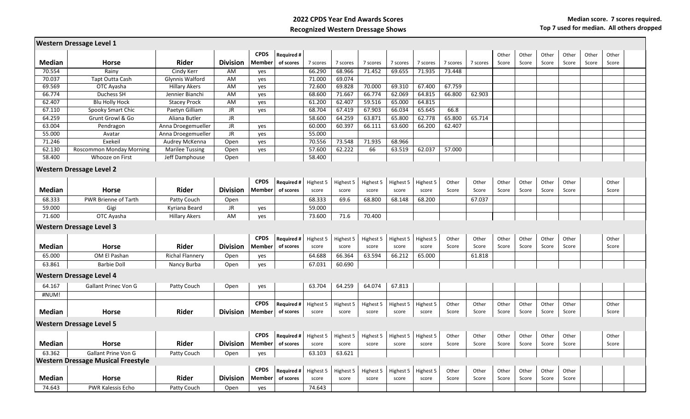## **2022 CPDS Year End Awards Scores Recognized Western Dressage Shows**

|               | <b>Western Dressage Level 1</b>           |                        |                 |             |                   |           |           |           |           |           |          |          |       |       |       |       |       |       |  |
|---------------|-------------------------------------------|------------------------|-----------------|-------------|-------------------|-----------|-----------|-----------|-----------|-----------|----------|----------|-------|-------|-------|-------|-------|-------|--|
|               |                                           |                        |                 | <b>CPDS</b> | <b>Required #</b> |           |           |           |           |           |          |          | Other | Other | Other | Other | Other | Other |  |
| <b>Median</b> | <b>Horse</b>                              | Rider                  | <b>Division</b> | Member      | of scores         | 7 scores  | 7 scores  | 7 scores  | 7 scores  | 7 scores  | 7 scores | 7 scores | Score | Score | Score | Score | Score | Score |  |
| 70.554        | Rainy                                     | Cindy Kerr             | AM              | yes         |                   | 66.290    | 68.966    | 71.452    | 69.655    | 71.935    | 73.448   |          |       |       |       |       |       |       |  |
| 70.037        | Tapt Outta Cash                           | Glynnis Walford        | AM              | yes         |                   | 71.000    | 69.074    |           |           |           |          |          |       |       |       |       |       |       |  |
| 69.569        | OTC Ayasha                                | <b>Hillary Akers</b>   | AM              | yes         |                   | 72.600    | 69.828    | 70.000    | 69.310    | 67.400    | 67.759   |          |       |       |       |       |       |       |  |
| 66.774        | Duchess SH                                | Jennier Bianchi        | AM              | yes         |                   | 68.600    | 71.667    | 66.774    | 62.069    | 64.815    | 66.800   | 62.903   |       |       |       |       |       |       |  |
| 62.407        | <b>Blu Holly Hock</b>                     | <b>Stacey Prock</b>    | AM              | yes         |                   | 61.200    | 62.407    | 59.516    | 65.000    | 64.815    |          |          |       |       |       |       |       |       |  |
| 67.110        | Spooky Smart Chic                         | Paetyn Gilliam         | JR              | yes         |                   | 68.704    | 67.419    | 67.903    | 66.034    | 65.645    | 66.8     |          |       |       |       |       |       |       |  |
| 64.259        | Grunt Growl & Go                          | Aliana Butler          | JR.             |             |                   | 58.600    | 64.259    | 63.871    | 65.800    | 62.778    | 65.800   | 65.714   |       |       |       |       |       |       |  |
| 63.004        | Pendragon                                 | Anna Droegemueller     | JR              | yes         |                   | 60.000    | 60.397    | 66.111    | 63.600    | 66.200    | 62.407   |          |       |       |       |       |       |       |  |
| 55.000        | Avatar                                    | Anna Droegemueller     | JR.             | yes         |                   | 55.000    |           |           |           |           |          |          |       |       |       |       |       |       |  |
| 71.246        | Exekeil                                   | Audrey McKenna         | Open            | yes         |                   | 70.556    | 73.548    | 71.935    | 68.966    |           |          |          |       |       |       |       |       |       |  |
| 62.130        | <b>Roscommon Monday Morning</b>           | <b>Marilee Tussing</b> | Open            | yes         |                   | 57.600    | 62.222    | 66        | 63.519    | 62.037    | 57.000   |          |       |       |       |       |       |       |  |
| 58.400        | Whooze on First                           | Jeff Damphouse         | Open            |             |                   | 58.400    |           |           |           |           |          |          |       |       |       |       |       |       |  |
|               | <b>Western Dressage Level 2</b>           |                        |                 |             |                   |           |           |           |           |           |          |          |       |       |       |       |       |       |  |
|               |                                           |                        |                 | <b>CPDS</b> | <b>Required #</b> | Highest 5 | Highest 5 | Highest 5 | Highest 5 | Highest 5 | Other    | Other    | Other | Other | Other | Other |       | Other |  |
| <b>Median</b> | <b>Horse</b>                              | Rider                  | <b>Division</b> | Member      | of scores         | score     | score     | score     | score     | score     | Score    | Score    | Score | Score | Score | Score |       | Score |  |
| 68.333        | PWR Brienne of Tarth                      | Patty Couch            | Open            |             |                   | 68.333    | 69.6      | 68.800    | 68.148    | 68.200    |          | 67.037   |       |       |       |       |       |       |  |
| 59.000        | Gigi                                      | Kyriana Beard          | JR              | yes         |                   | 59.000    |           |           |           |           |          |          |       |       |       |       |       |       |  |
| 71.600        | OTC Ayasha                                | <b>Hillary Akers</b>   | AM              | yes         |                   | 73.600    | 71.6      | 70.400    |           |           |          |          |       |       |       |       |       |       |  |
|               |                                           |                        |                 |             |                   |           |           |           |           |           |          |          |       |       |       |       |       |       |  |
|               | <b>Western Dressage Level 3</b>           |                        |                 |             |                   |           |           |           |           |           |          |          |       |       |       |       |       |       |  |
|               |                                           |                        |                 | <b>CPDS</b> | <b>Required#</b>  | Highest 5 | Highest 5 | Highest 5 | Highest 5 | Highest 5 | Other    | Other    | Other | Other | Other | Other |       | Other |  |
| <b>Median</b> | <b>Horse</b>                              | <b>Rider</b>           | <b>Division</b> | Membeı      | of scores         | score     | score     | score     | score     | score     | Score    | Score    | Score | Score | Score | Score |       | Score |  |
| 65.000        | OM El Pashan                              | <b>Richal Flannery</b> | Open            | yes         |                   | 64.688    | 66.364    | 63.594    | 66.212    | 65.000    |          | 61.818   |       |       |       |       |       |       |  |
| 63.861        | <b>Barbie Doll</b>                        | Nancy Burba            | Open            | yes         |                   | 67.031    | 60.690    |           |           |           |          |          |       |       |       |       |       |       |  |
|               | Western Dressage Level 4                  |                        |                 |             |                   |           |           |           |           |           |          |          |       |       |       |       |       |       |  |
| 64.167        | <b>Gallant Prinec Von G</b>               | Patty Couch            | Open            | yes         |                   | 63.704    | 64.259    | 64.074    | 67.813    |           |          |          |       |       |       |       |       |       |  |
| #NUM!         |                                           |                        |                 |             |                   |           |           |           |           |           |          |          |       |       |       |       |       |       |  |
|               |                                           |                        |                 | <b>CPDS</b> | Required #        | Highest 5 | Highest 5 | Highest 5 | Highest 5 | Highest 5 | Other    | Other    | Other | Other | Other | Other |       | Other |  |
| <b>Median</b> | <b>Horse</b>                              | Rider                  | <b>Division</b> | Member      | of scores         | score     | score     | score     | score     | score     | Score    | Score    | Score | Score | Score | Score |       | Score |  |
|               |                                           |                        |                 |             |                   |           |           |           |           |           |          |          |       |       |       |       |       |       |  |
|               | <b>Western Dressage Level 5</b>           |                        |                 |             |                   |           |           |           |           |           |          |          |       |       |       |       |       |       |  |
|               |                                           |                        |                 | <b>CPDS</b> | <b>Required #</b> | Highest 5 | Highest 5 | Highest 5 | Highest 5 | Highest 5 | Other    | Other    | Other | Other | Other | Other |       | Other |  |
| <b>Median</b> | <b>Horse</b>                              | <b>Rider</b>           | <b>Division</b> | Member      | of scores         | score     | score     | score     | score     | score     | Score    | Score    | Score | Score | Score | Score |       | Score |  |
| 63.362        | Gallant Prine Von G                       | Patty Couch            | Open            | yes         |                   | 63.103    | 63.621    |           |           |           |          |          |       |       |       |       |       |       |  |
|               | <b>Western Dressage Musical Freestyle</b> |                        |                 |             |                   |           |           |           |           |           |          |          |       |       |       |       |       |       |  |
|               |                                           |                        |                 | <b>CPDS</b> | <b>Required #</b> | Highest 5 | Highest 5 | Highest 5 | Highest 5 | Highest 5 | Other    | Other    | Other | Other | Other | Other |       |       |  |
| <b>Median</b> | <b>Horse</b>                              | Rider                  | <b>Division</b> | Membeı      | of scores         | score     | score     | score     | score     | score     | Score    | Score    | Score | Score | Score | Score |       |       |  |
| 74.643        | <b>PWR Kalessis Echo</b>                  | Patty Couch            | Open            | yes         |                   | 74.643    |           |           |           |           |          |          |       |       |       |       |       |       |  |